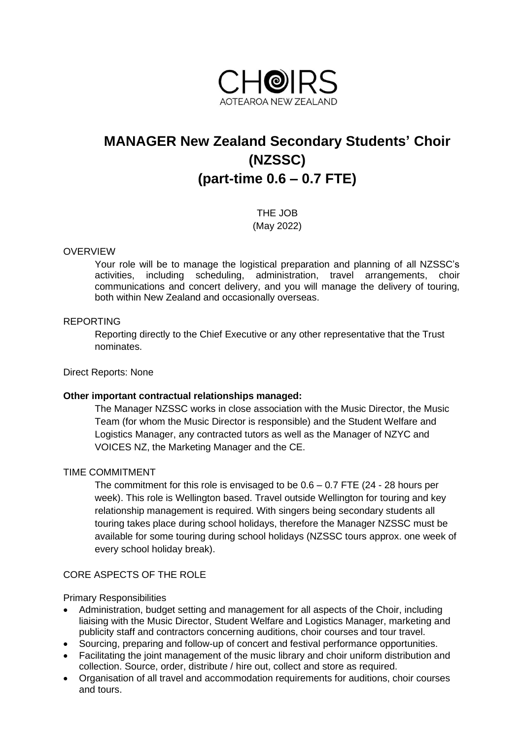

# **MANAGER New Zealand Secondary Students' Choir (NZSSC) (part-time 0.6 – 0.7 FTE)**

THE JOB (May 2022)

# OVERVIEW

Your role will be to manage the logistical preparation and planning of all NZSSC's activities, including scheduling, administration, travel arrangements, choir communications and concert delivery, and you will manage the delivery of touring, both within New Zealand and occasionally overseas.

## REPORTING

Reporting directly to the Chief Executive or any other representative that the Trust nominates.

## Direct Reports: None

### **Other important contractual relationships managed:**

The Manager NZSSC works in close association with the Music Director, the Music Team (for whom the Music Director is responsible) and the Student Welfare and Logistics Manager, any contracted tutors as well as the Manager of NZYC and VOICES NZ, the Marketing Manager and the CE.

### TIME COMMITMENT

The commitment for this role is envisaged to be  $0.6 - 0.7$  FTE  $(24 - 28)$  hours per week). This role is Wellington based. Travel outside Wellington for touring and key relationship management is required. With singers being secondary students all touring takes place during school holidays, therefore the Manager NZSSC must be available for some touring during school holidays (NZSSC tours approx. one week of every school holiday break).

# CORE ASPECTS OF THE ROLE

Primary Responsibilities

- Administration, budget setting and management for all aspects of the Choir, including liaising with the Music Director, Student Welfare and Logistics Manager, marketing and publicity staff and contractors concerning auditions, choir courses and tour travel.
- Sourcing, preparing and follow-up of concert and festival performance opportunities.
- Facilitating the joint management of the music library and choir uniform distribution and collection. Source, order, distribute / hire out, collect and store as required.
- Organisation of all travel and accommodation requirements for auditions, choir courses and tours.